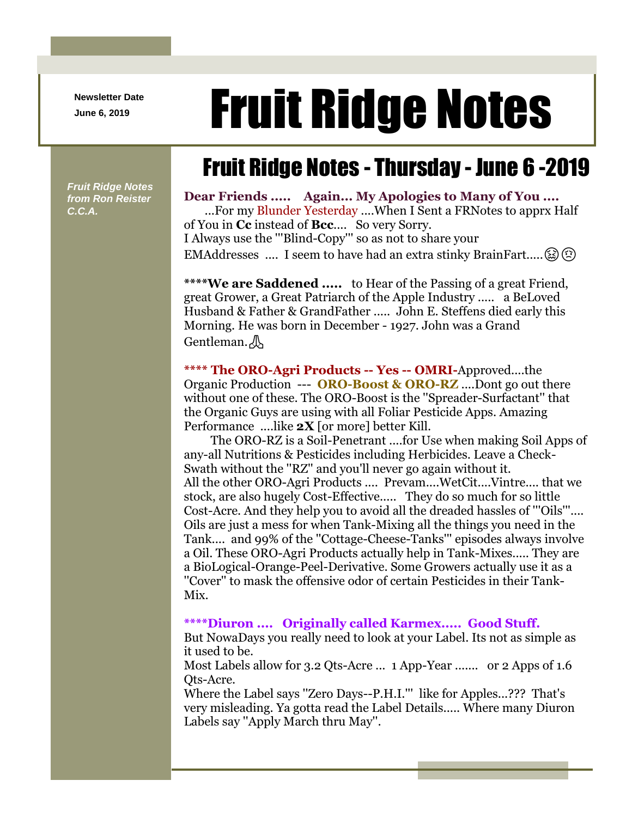**Newsletter Date**

# Newsletter Date **Fruit Ridge Notes**

## Fruit Ridge Notes - Thursday - June 6 -2019

*Fruit Ridge Notes from Ron Reister C.C.A.*

#### **Dear Friends ..... Again... My Apologies to Many of You ....** ...For my Blunder Yesterday ....When I Sent a FRNotes to apprx Half

of You in **Cc** instead of **Bcc**.... So very Sorry. I Always use the '''Blind-Copy''' so as not to share your EMAddresses .... I seem to have had an extra stinky BrainFart..... $\circled{z}$ 

**\*\*\*\*We are Saddened .....** to Hear of the Passing of a great Friend, great Grower, a Great Patriarch of the Apple Industry ..... a BeLoved Husband & Father & GrandFather ..... John E. Steffens died early this Morning. He was born in December - 1927. John was a Grand Gentleman.

**\*\*\*\* The ORO-Agri Products -- Yes -- OMRI-**Approved....the Organic Production --- **ORO-Boost & ORO-RZ** ....Dont go out there without one of these. The ORO-Boost is the ''Spreader-Surfactant'' that the Organic Guys are using with all Foliar Pesticide Apps. Amazing Performance ....like **2X** [or more] better Kill.

The ORO-RZ is a Soil-Penetrant ....for Use when making Soil Apps of any-all Nutritions & Pesticides including Herbicides. Leave a Check-Swath without the ''RZ'' and you'll never go again without it. All the other ORO-Agri Products .... Prevam....WetCit....Vintre.... that we stock, are also hugely Cost-Effective..... They do so much for so little Cost-Acre. And they help you to avoid all the dreaded hassles of '''Oils'''.... Oils are just a mess for when Tank-Mixing all the things you need in the Tank.... and 99% of the ''Cottage-Cheese-Tanks''' episodes always involve a Oil. These ORO-Agri Products actually help in Tank-Mixes..... They are a BioLogical-Orange-Peel-Derivative. Some Growers actually use it as a ''Cover'' to mask the offensive odor of certain Pesticides in their Tank-Mix.

#### **\*\*\*\*Diuron .... Originally called Karmex..... Good Stuff.**

But NowaDays you really need to look at your Label. Its not as simple as it used to be.

Most Labels allow for 3.2 Qts-Acre ... 1 App-Year ....... or 2 Apps of 1.6 Qts-Acre.

Where the Label says ''Zero Days--P.H.I.''' like for Apples...??? That's very misleading. Ya gotta read the Label Details..... Where many Diuron Labels say ''Apply March thru May''.